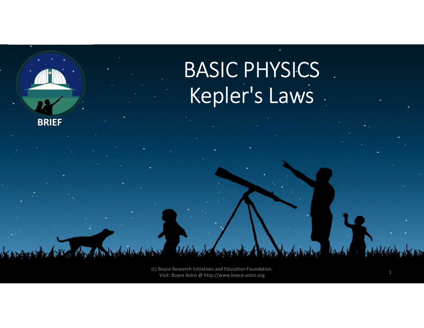

(c) Boyce Research Initiatives and Education Foundation. Visit: Boyce Astro @ http://www.boyce-astro.org <sup>1</sup>

**BRIEF**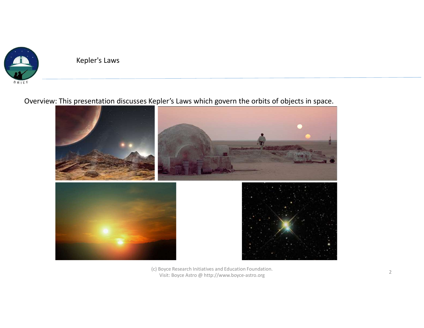

# Overview: This presentation discusses Kepler's Laws which govern the orbits of objects in space.



(c) Boyce Research Initiatives and Education Foundation. Visit: Boyce Astro @ http://www.boyce-astro.org <sup>2</sup>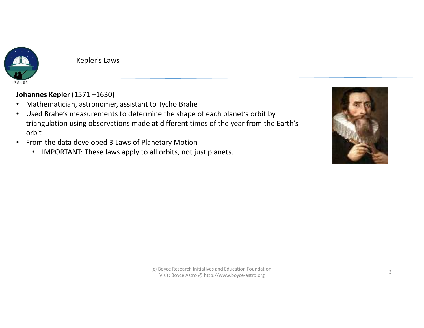

- 
- Kepler's Laws<br>
Johannes Kepler (1571 –1630)<br>
 Mathematician, astronomer, assistant to Tycho Brahe<br>
 Used Brahe's measurements to determine the shape of each planet's orbit by<br>
triangulation using observations made at dif • Used Brahe's measurements to determine the shape of each planet's orbit by triangulation using observations made at different times of the year from the Earth's orbit
- From the data developed 3 Laws of Planetary Motion
	- IMPORTANT: These laws apply to all orbits, not just planets.

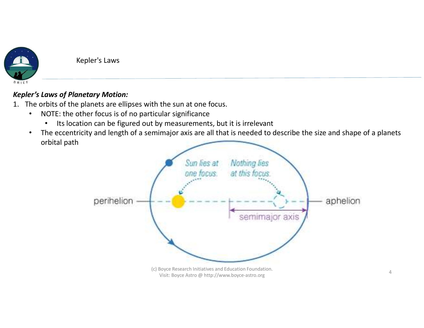

## Kepler's Laws of Planetary Motion:

- - - Its location can be figured out by measurements, but it is irrelevant
- 1. The orbits of **Planetary Motion:**<br>
1. The orbits of the planets are ellipses with the sun at one focus.<br>
1. The orbits of the planets are ellipses with the sun at one focus.<br>
1. NOTE: the other focus is of no particular • The eccentricity and length of a semimajor axis are all that is needed to describe the size and shape of a planets orbital path

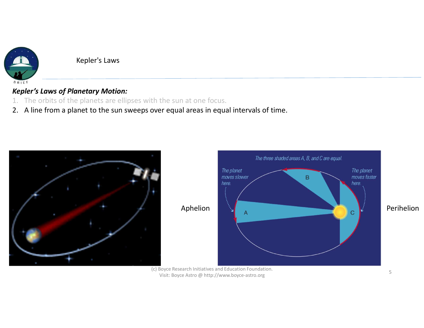

## Kepler's Laws of Planetary Motion:

- 
- Kepler's Laws<br>
Repler's Laws of Planetary Motion:<br>
1. The orbits of the planets are ellipses with the sun at one focus.<br>
2. A line from a planet to the sun sweeps over equal areas in equal intervals of Exercise Repler's Laws<br>
2. A line from a planet to the sun sweeps over equal areas in equal intervals of time.<br>
2. A line from a planet to the sun sweeps over equal areas in equal intervals of time.





(c) Boyce Research Initiatives and Education Foundation. Visit: Boyce Astro @ http://www.boyce-astro.org <sup>5</sup>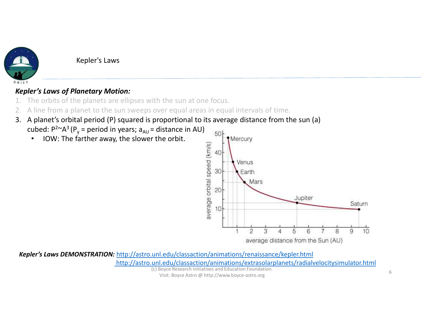

# Kepler's Laws of Planetary Motion:

- 
- 
- Example 1. The orbits of **Planetary Motion:**<br>
1. The orbits of **Planetary Motion:**<br>
1. The orbits of the planets are ellipses with the sun at one focus.<br>
2. A line from a planet to the sun sweeps over equal areas in equal Example:<br>
2. A line from a planet to the sun sweeps over equal areas in equal intervals of time.<br>
2. A line from a planet to the sun sweeps over equal areas in equal intervals of time.<br>
3. A planet's orbital period (P) sq
	- cubed:  $P^{2\sim}A^{3} (P_{y} =$  period in years;  $a_{AU} =$  distance in AU)  $=$  50  $\frac{1}{3}$  Mercury
		-



(c) Boyce Research Initiatives and Education Foundation. Kepler's Laws DEMONSTRATION: http://astro.unl.edu/classaction/animations/renaissance/kepler.html http://astro.unl.edu/classaction/animations/extrasolarplanets/radialvelocitysimulator.html

Visit: Boyce Astro @ http://www.boyce-astro.org <sup>6</sup>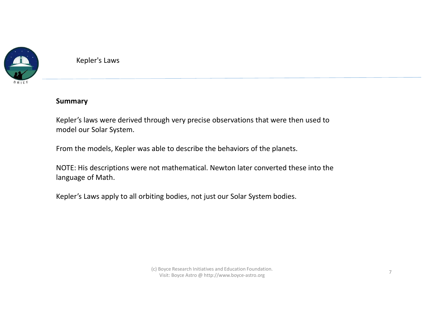

#### Summary

Kepler's laws were derived through very precise observations that were then used to model our Solar System.

From the models, Kepler was able to describe the behaviors of the planets.

NOTE: His descriptions were not mathematical. Newton later converted these into the language of Math.

Kepler's Laws apply to all orbiting bodies, not just our Solar System bodies.

(c) Boyce Research Initiatives and Education Foundation. Visit: Boyce Astro @ http://www.boyce-astro.org <sup>7</sup>